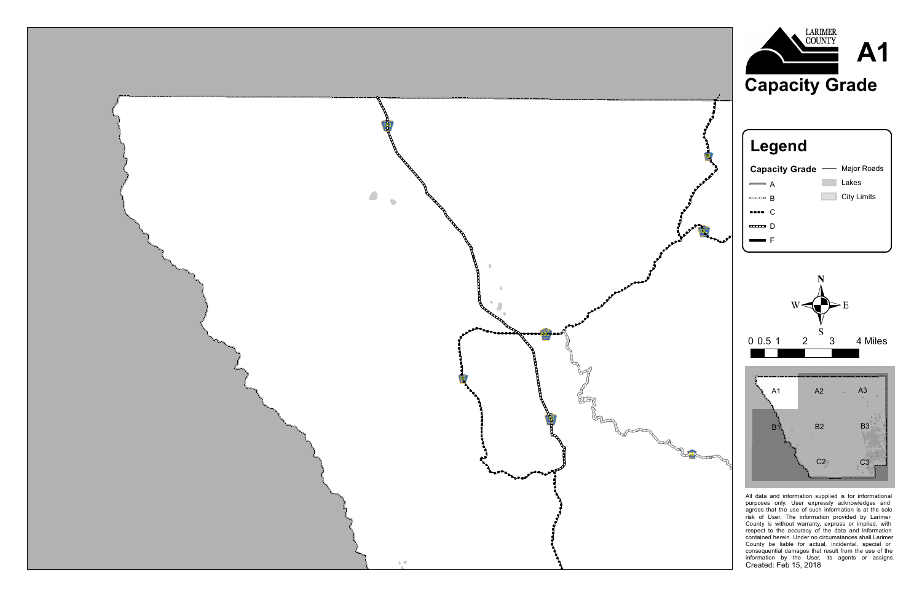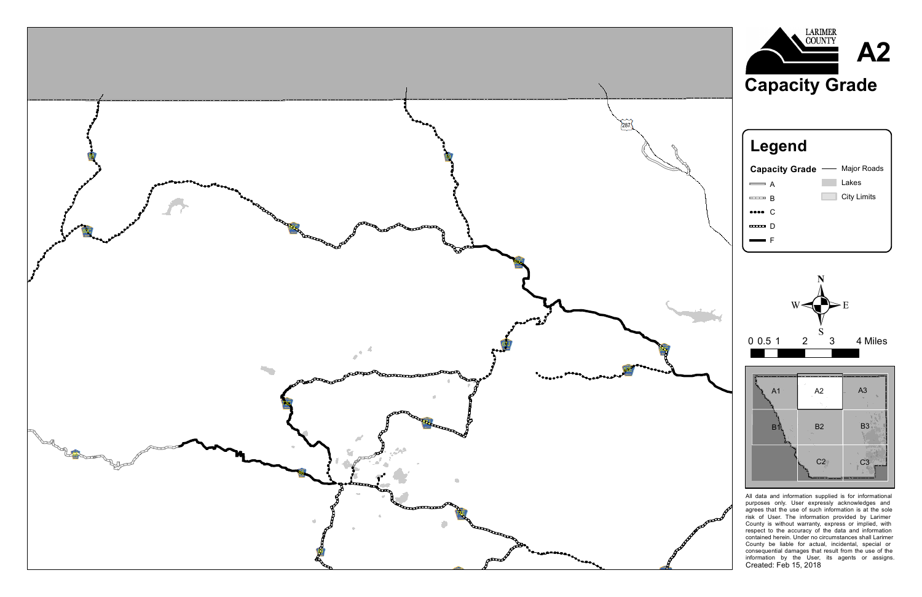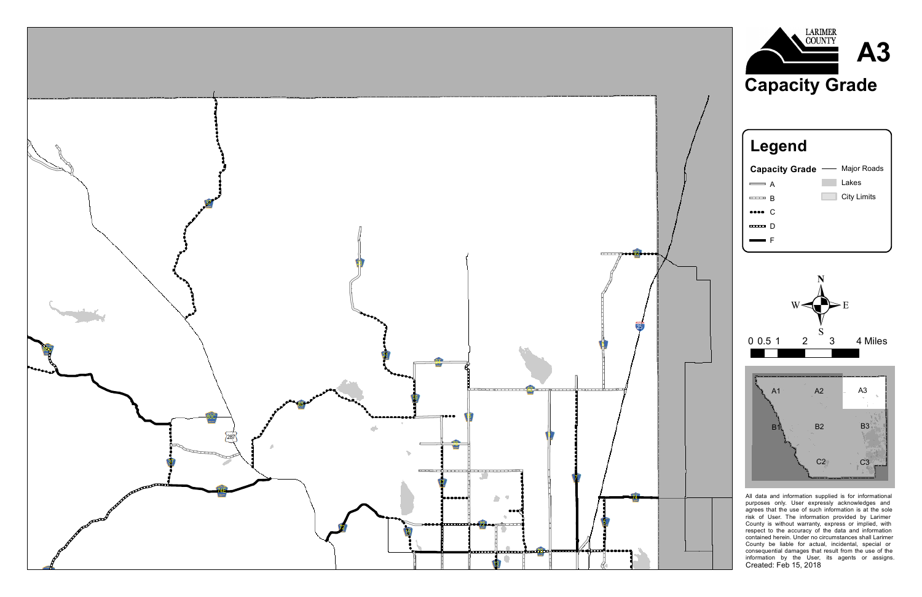





![](_page_2_Figure_3.jpeg)

![](_page_2_Figure_4.jpeg)

All data and information supplied is for informational purposes only. User expressly acknowledges and agrees that the use of such information is at the sole risk of User. The information provided by Larimer County is without warranty, express or implied, with respect to the accuracy of the data and information contained herein. Under no circumstances shall Larimer County be liable for actual, incidental, special or consequential damages that result from the use of the information by the User, its agents or assigns. Created: Feb 15, 2018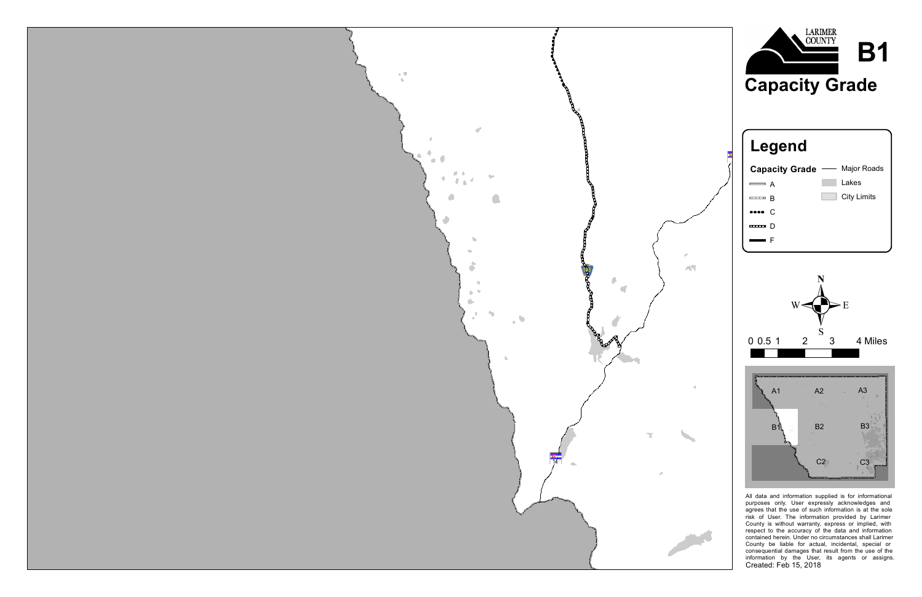![](_page_3_Picture_0.jpeg)

![](_page_3_Figure_1.jpeg)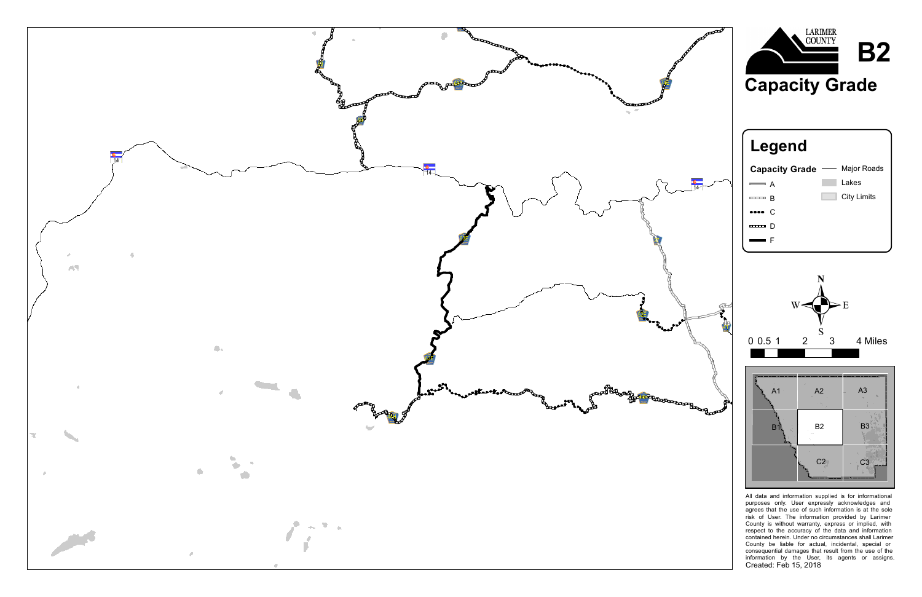![](_page_4_Picture_0.jpeg)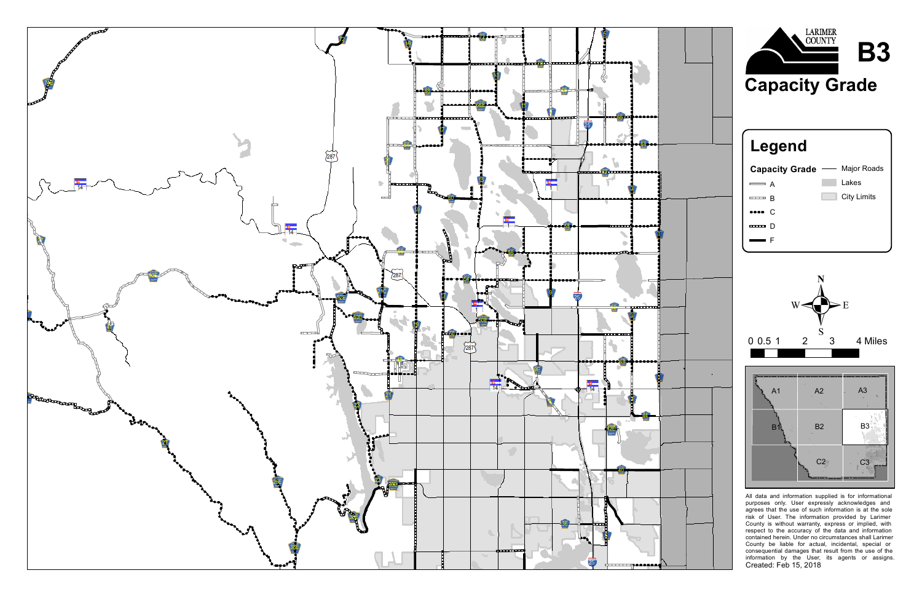![](_page_5_Figure_0.jpeg)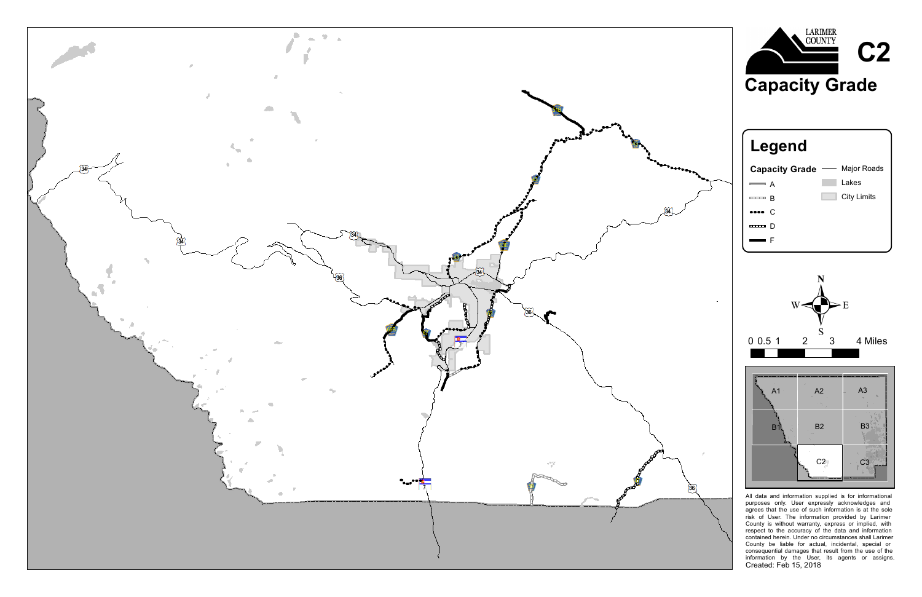![](_page_6_Picture_0.jpeg)